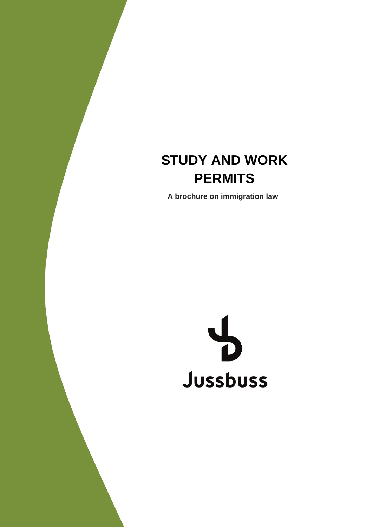# **PERMITS STUDY AND WORK**

**A brochure on immigration law**

#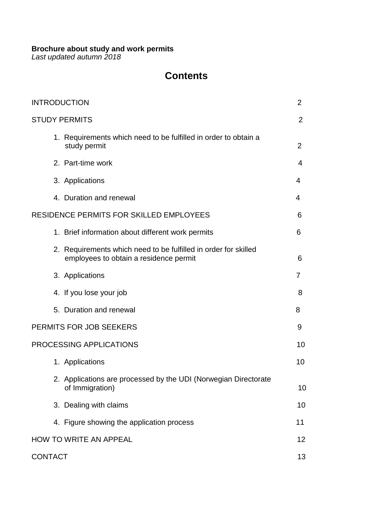### **Brochure about study and work permits**

*Last updated autumn 2018*

# **Contents**

| <b>INTRODUCTION</b>                                                                                       | $\overline{2}$ |
|-----------------------------------------------------------------------------------------------------------|----------------|
| <b>STUDY PERMITS</b>                                                                                      | $\overline{2}$ |
| 1. Requirements which need to be fulfilled in order to obtain a<br>study permit                           | $\overline{2}$ |
| 2. Part-time work                                                                                         | 4              |
| 3. Applications                                                                                           | 4              |
| 4. Duration and renewal                                                                                   | 4              |
| RESIDENCE PERMITS FOR SKILLED EMPLOYEES                                                                   | 6              |
| 1. Brief information about different work permits                                                         | 6              |
| 2. Requirements which need to be fulfilled in order for skilled<br>employees to obtain a residence permit | 6              |
| 3. Applications                                                                                           | 7              |
| 4. If you lose your job                                                                                   | 8              |
| 5. Duration and renewal                                                                                   | 8              |
| PERMITS FOR JOB SEEKERS                                                                                   | 9              |
| <b>PROCESSING APPLICATIONS</b>                                                                            | 10             |
| 1. Applications                                                                                           | 10             |
| 2. Applications are processed by the UDI (Norwegian Directorate<br>of Immigration)                        | 10             |
| 3. Dealing with claims                                                                                    | 10             |
| 4. Figure showing the application process                                                                 | 11             |
| HOW TO WRITE AN APPEAL                                                                                    | 12             |
| <b>CONTACT</b>                                                                                            | 13             |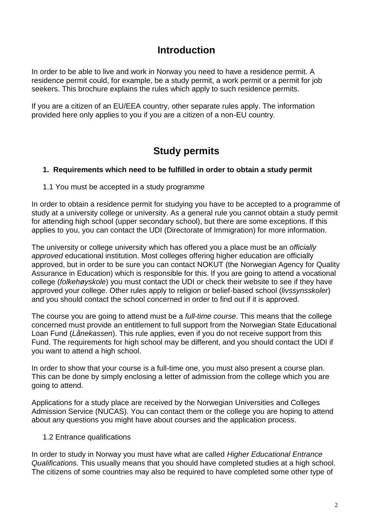# **Introduction**

In order to be able to live and work in Norway you need to have a residence permit. A residence permit could, for example, be a study permit, a work permit or a permit for job seekers. This brochure explains the rules which apply to such residence permits.

If you are a citizen of an EU/EEA country, other separate rules apply. The information provided here only applies to you if you are a citizen of a non-EU country.

# **Study permits**

### **1. Requirements which need to be fulfilled in order to obtain a study permit**

1.1 You must be accepted in a study programme

In order to obtain a residence permit for studying you have to be accepted to a programme of study at a university college or university. As a general rule you cannot obtain a study permit for attending high school (upper secondary school), but there are some exceptions. If this applies to you, you can contact the UDI (Directorate of Immigration) for more information.

The university or college university which has offered you a place must be an *officially approved* educational institution. Most colleges offering higher education are officially approved, but in order to be sure you can contact NOKUT (the Norwegian Agency for Quality Assurance in Education) which is responsible for this. If you are going to attend a vocational college (*folkehøyskole*) you must contact the UDI or check their website to see if they have approved your college. Other rules apply to religion or belief-based school (*livssynsskoler*) and you should contact the school concerned in order to find out if it is approved.

The course you are going to attend must be a *full-time course*. This means that the college concerned must provide an entitlement to full support from the Norwegian State Educational Loan Fund (*Lånekassen*). This rule applies, even if you do not receive support from this Fund. The requirements for high school may be different, and you should contact the UDI if you want to attend a high school.

In order to show that your course is a full-time one, you must also present a course plan. This can be done by simply enclosing a letter of admission from the college which you are going to attend.

Applications for a study place are received by the Norwegian Universities and Colleges Admission Service (NUCAS). You can contact them or the college you are hoping to attend about any questions you might have about courses and the application process.

### 1.2 Entrance qualifications

In order to study in Norway you must have what are called *Higher Educational Entrance Qualifications.* This usually means that you should have completed studies at a high school. The citizens of some countries may also be required to have completed some other type of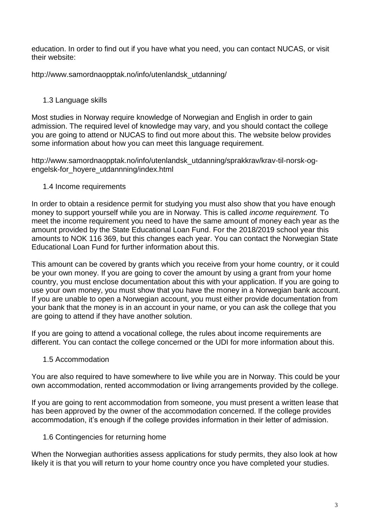education. In order to find out if you have what you need, you can contact NUCAS, or visit their website:

http://www.samordnaopptak.no/info/utenlandsk\_utdanning/

### 1.3 Language skills

Most studies in Norway require knowledge of Norwegian and English in order to gain admission. The required level of knowledge may vary, and you should contact the college you are going to attend or NUCAS to find out more about this. The website below provides some information about how you can meet this language requirement.

http://www.samordnaopptak.no/info/utenlandsk\_utdanning/sprakkrav/krav-til-norsk-ogengelsk-for\_hoyere\_utdannning/index.html

### 1.4 Income requirements

In order to obtain a residence permit for studying you must also show that you have enough money to support yourself while you are in Norway. This is called *income requirement.* To meet the income requirement you need to have the same amount of money each year as the amount provided by the State Educational Loan Fund. For the 2018/2019 school year this amounts to NOK 116 369, but this changes each year. You can contact the Norwegian State Educational Loan Fund for further information about this.

This amount can be covered by grants which you receive from your home country, or it could be your own money. If you are going to cover the amount by using a grant from your home country, you must enclose documentation about this with your application. If you are going to use your own money, you must show that you have the money in a Norwegian bank account. If you are unable to open a Norwegian account, you must either provide documentation from your bank that the money is in an account in your name, or you can ask the college that you are going to attend if they have another solution.

If you are going to attend a vocational college, the rules about income requirements are different. You can contact the college concerned or the UDI for more information about this.

### 1.5 Accommodation

You are also required to have somewhere to live while you are in Norway. This could be your own accommodation, rented accommodation or living arrangements provided by the college.

If you are going to rent accommodation from someone, you must present a written lease that has been approved by the owner of the accommodation concerned. If the college provides accommodation, it's enough if the college provides information in their letter of admission.

### 1.6 Contingencies for returning home

When the Norwegian authorities assess applications for study permits, they also look at how likely it is that you will return to your home country once you have completed your studies.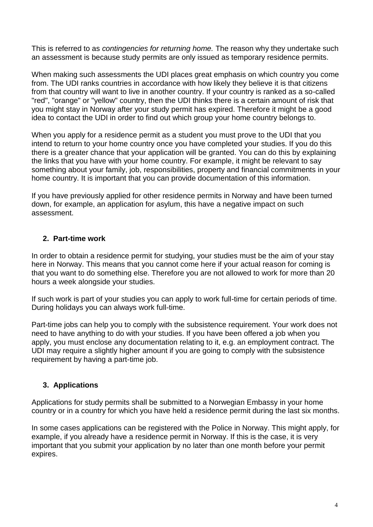This is referred to as *contingencies for returning home.* The reason why they undertake such an assessment is because study permits are only issued as temporary residence permits.

When making such assessments the UDI places great emphasis on which country you come from. The UDI ranks countries in accordance with how likely they believe it is that citizens from that country will want to live in another country. If your country is ranked as a so-called "red", "orange" or "yellow" country, then the UDI thinks there is a certain amount of risk that you might stay in Norway after your study permit has expired. Therefore it might be a good idea to contact the UDI in order to find out which group your home country belongs to.

When you apply for a residence permit as a student you must prove to the UDI that you intend to return to your home country once you have completed your studies. If you do this there is a greater chance that your application will be granted. You can do this by explaining the links that you have with your home country. For example, it might be relevant to say something about your family, job, responsibilities, property and financial commitments in your home country. It is important that you can provide documentation of this information.

If you have previously applied for other residence permits in Norway and have been turned down, for example, an application for asylum, this have a negative impact on such assessment.

### **2. Part-time work**

In order to obtain a residence permit for studying, your studies must be the aim of your stay here in Norway. This means that you cannot come here if your actual reason for coming is that you want to do something else. Therefore you are not allowed to work for more than 20 hours a week alongside your studies.

If such work is part of your studies you can apply to work full-time for certain periods of time. During holidays you can always work full-time.

Part-time jobs can help you to comply with the subsistence requirement. Your work does not need to have anything to do with your studies. If you have been offered a job when you apply, you must enclose any documentation relating to it, e.g. an employment contract. The UDI may require a slightly higher amount if you are going to comply with the subsistence requirement by having a part-time job.

### **3. Applications**

Applications for study permits shall be submitted to a Norwegian Embassy in your home country or in a country for which you have held a residence permit during the last six months.

In some cases applications can be registered with the Police in Norway. This might apply, for example, if you already have a residence permit in Norway. If this is the case, it is very important that you submit your application by no later than one month before your permit expires.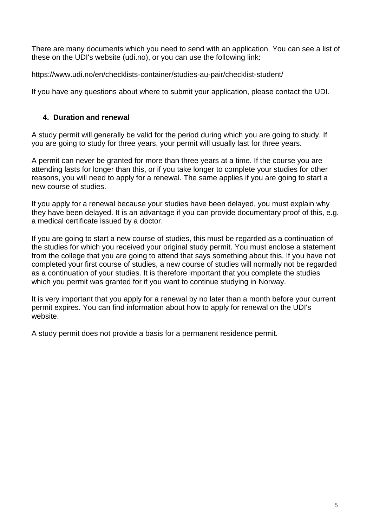There are many documents which you need to send with an application. You can see a list of these on the UDI's website (udi.no), or you can use the following link:

https://www.udi.no/en/checklists-container/studies-au-pair/checklist-student/

If you have any questions about where to submit your application, please contact the UDI.

### **4. Duration and renewal**

A study permit will generally be valid for the period during which you are going to study. If you are going to study for three years, your permit will usually last for three years.

A permit can never be granted for more than three years at a time. If the course you are attending lasts for longer than this, or if you take longer to complete your studies for other reasons, you will need to apply for a renewal. The same applies if you are going to start a new course of studies.

If you apply for a renewal because your studies have been delayed, you must explain why they have been delayed. It is an advantage if you can provide documentary proof of this, e.g. a medical certificate issued by a doctor.

If you are going to start a new course of studies, this must be regarded as a continuation of the studies for which you received your original study permit. You must enclose a statement from the college that you are going to attend that says something about this. If you have not completed your first course of studies, a new course of studies will normally not be regarded as a continuation of your studies. It is therefore important that you complete the studies which you permit was granted for if you want to continue studying in Norway.

It is very important that you apply for a renewal by no later than a month before your current permit expires. You can find information about how to apply for renewal on the UDI's website.

A study permit does not provide a basis for a permanent residence permit.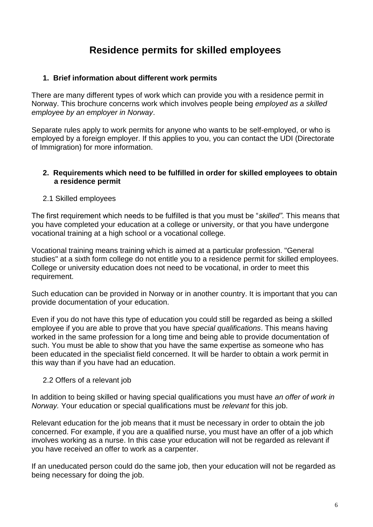# **Residence permits for skilled employees**

### **1. Brief information about different work permits**

There are many different types of work which can provide you with a residence permit in Norway. This brochure concerns work which involves people being *employed as a skilled employee by an employer in Norway*.

Separate rules apply to work permits for anyone who wants to be self-employed, or who is employed by a foreign employer. If this applies to you, you can contact the UDI (Directorate of Immigration) for more information.

### **2. Requirements which need to be fulfilled in order for skilled employees to obtain a residence permit**

### 2.1 Skilled employees

The first requirement which needs to be fulfilled is that you must be "*skilled"*. This means that you have completed your education at a college or university, or that you have undergone vocational training at a high school or a vocational college.

Vocational training means training which is aimed at a particular profession. "General studies" at a sixth form college do not entitle you to a residence permit for skilled employees. College or university education does not need to be vocational, in order to meet this requirement.

Such education can be provided in Norway or in another country. It is important that you can provide documentation of your education.

Even if you do not have this type of education you could still be regarded as being a skilled employee if you are able to prove that you have *special qualifications*. This means having worked in the same profession for a long time and being able to provide documentation of such. You must be able to show that you have the same expertise as someone who has been educated in the specialist field concerned. It will be harder to obtain a work permit in this way than if you have had an education.

### 2.2 Offers of a relevant job

In addition to being skilled or having special qualifications you must have *an offer of work in Norway.* Your education or special qualifications must be *relevant* for this job.

Relevant education for the job means that it must be necessary in order to obtain the job concerned. For example, if you are a qualified nurse, you must have an offer of a job which involves working as a nurse. In this case your education will not be regarded as relevant if you have received an offer to work as a carpenter.

If an uneducated person could do the same job, then your education will not be regarded as being necessary for doing the job.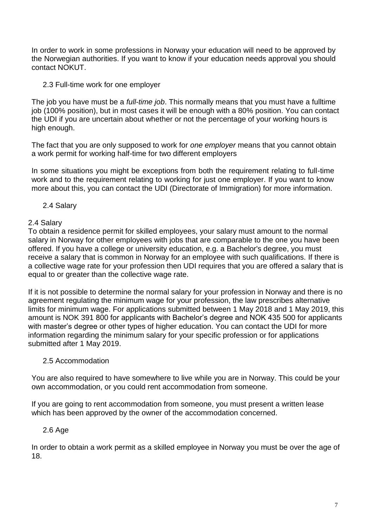In order to work in some professions in Norway your education will need to be approved by the Norwegian authorities. If you want to know if your education needs approval you should contact NOKUT.

### 2.3 Full-time work for one employer

The job you have must be a *full-time job*. This normally means that you must have a fulltime job (100% position), but in most cases it will be enough with a 80% position. You can contact the UDI if you are uncertain about whether or not the percentage of your working hours is high enough.

The fact that you are only supposed to work for *one employer* means that you cannot obtain a work permit for working half-time for two different employers

In some situations you might be exceptions from both the requirement relating to full-time work and to the requirement relating to working for just one employer. If you want to know more about this, you can contact the UDI (Directorate of Immigration) for more information.

### 2.4 Salary

### 2.4 Salary

To obtain a residence permit for skilled employees, your salary must amount to the normal salary in Norway for other employees with jobs that are comparable to the one you have been offered. If you have a college or university education, e.g. a Bachelor's degree, you must receive a salary that is common in Norway for an employee with such qualifications. If there is a collective wage rate for your profession then UDI requires that you are offered a salary that is equal to or greater than the collective wage rate.

If it is not possible to determine the normal salary for your profession in Norway and there is no agreement regulating the minimum wage for your profession, the law prescribes alternative limits for minimum wage. For applications submitted between 1 May 2018 and 1 May 2019, this amount is NOK 391 800 for applicants with Bachelor's degree and NOK 435 500 for applicants with master's degree or other types of higher education. You can contact the UDI for more information regarding the minimum salary for your specific profession or for applications submitted after 1 May 2019.

### 2.5 Accommodation

You are also required to have somewhere to live while you are in Norway. This could be your own accommodation, or you could rent accommodation from someone.

If you are going to rent accommodation from someone, you must present a written lease which has been approved by the owner of the accommodation concerned.

### 2.6 Age

In order to obtain a work permit as a skilled employee in Norway you must be over the age of 18.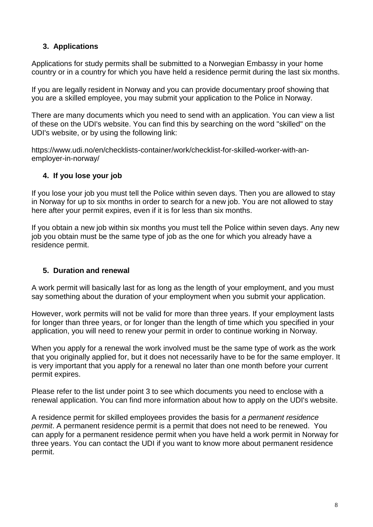### **3. Applications**

Applications for study permits shall be submitted to a Norwegian Embassy in your home country or in a country for which you have held a residence permit during the last six months.

If you are legally resident in Norway and you can provide documentary proof showing that you are a skilled employee, you may submit your application to the Police in Norway.

There are many documents which you need to send with an application. You can view a list of these on the UDI's website. You can find this by searching on the word "skilled" on the UDI's website, or by using the following link:

https://www.udi.no/en/checklists-container/work/checklist-for-skilled-worker-with-anemployer-in-norway/

### **4. If you lose your job**

If you lose your job you must tell the Police within seven days. Then you are allowed to stay in Norway for up to six months in order to search for a new job. You are not allowed to stay here after your permit expires, even if it is for less than six months.

If you obtain a new job within six months you must tell the Police within seven days. Any new job you obtain must be the same type of job as the one for which you already have a residence permit.

### **5. Duration and renewal**

A work permit will basically last for as long as the length of your employment, and you must say something about the duration of your employment when you submit your application.

However, work permits will not be valid for more than three years. If your employment lasts for longer than three years, or for longer than the length of time which you specified in your application, you will need to renew your permit in order to continue working in Norway.

When you apply for a renewal the work involved must be the same type of work as the work that you originally applied for, but it does not necessarily have to be for the same employer. It is very important that you apply for a renewal no later than one month before your current permit expires.

Please refer to the list under point 3 to see which documents you need to enclose with a renewal application. You can find more information about how to apply on the UDI's website.

A residence permit for skilled employees provides the basis for *a permanent residence permit*. A permanent residence permit is a permit that does not need to be renewed. You can apply for a permanent residence permit when you have held a work permit in Norway for three years. You can contact the UDI if you want to know more about permanent residence permit.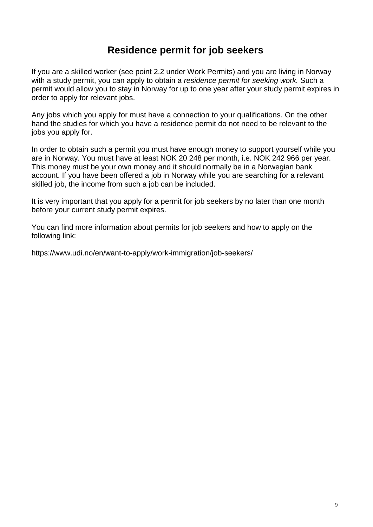# **Residence permit for job seekers**

If you are a skilled worker (see point 2.2 under Work Permits) and you are living in Norway with a study permit, you can apply to obtain a *residence permit for seeking work.* Such a permit would allow you to stay in Norway for up to one year after your study permit expires in order to apply for relevant jobs.

Any jobs which you apply for must have a connection to your qualifications. On the other hand the studies for which you have a residence permit do not need to be relevant to the jobs you apply for.

In order to obtain such a permit you must have enough money to support yourself while you are in Norway. You must have at least NOK 20 248 per month, i.e. NOK 242 966 per year. This money must be your own money and it should normally be in a Norwegian bank account. If you have been offered a job in Norway while you are searching for a relevant skilled job, the income from such a job can be included.

It is very important that you apply for a permit for job seekers by no later than one month before your current study permit expires.

You can find more information about permits for job seekers and how to apply on the following link:

https://www.udi.no/en/want-to-apply/work-immigration/job-seekers/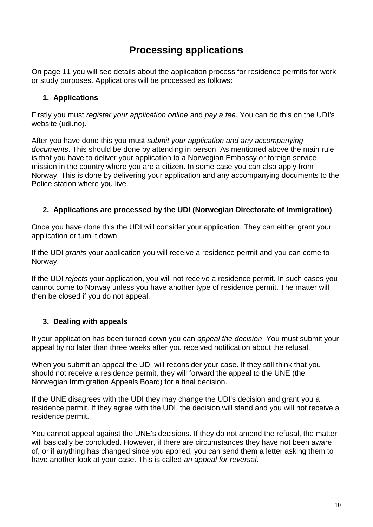# **Processing applications**

On page 11 you will see details about the application process for residence permits for work or study purposes. Applications will be processed as follows:

### **1. Applications**

Firstly you must *register your application online* and *pay a fee*. You can do this on the UDI's website (udi.no).

After you have done this you must *submit your application and any accompanying documents*. This should be done by attending in person. As mentioned above the main rule is that you have to deliver your application to a Norwegian Embassy or foreign service mission in the country where you are a citizen. In some case you can also apply from Norway. This is done by delivering your application and any accompanying documents to the Police station where you live.

### **2. Applications are processed by the UDI (Norwegian Directorate of Immigration)**

Once you have done this the UDI will consider your application. They can either grant your application or turn it down.

If the UDI *grants* your application you will receive a residence permit and you can come to Norway.

If the UDI *rejects* your application, you will not receive a residence permit. In such cases you cannot come to Norway unless you have another type of residence permit. The matter will then be closed if you do not appeal.

### **3. Dealing with appeals**

If your application has been turned down you can *appeal the decision*. You must submit your appeal by no later than three weeks after you received notification about the refusal.

When you submit an appeal the UDI will reconsider your case. If they still think that you should not receive a residence permit, they will forward the appeal to the UNE (the Norwegian Immigration Appeals Board) for a final decision.

If the UNE disagrees with the UDI they may change the UDI's decision and grant you a residence permit. If they agree with the UDI, the decision will stand and you will not receive a residence permit.

You cannot appeal against the UNE's decisions. If they do not amend the refusal, the matter will basically be concluded. However, if there are circumstances they have not been aware of, or if anything has changed since you applied, you can send them a letter asking them to have another look at your case. This is called *an appeal for reversal*.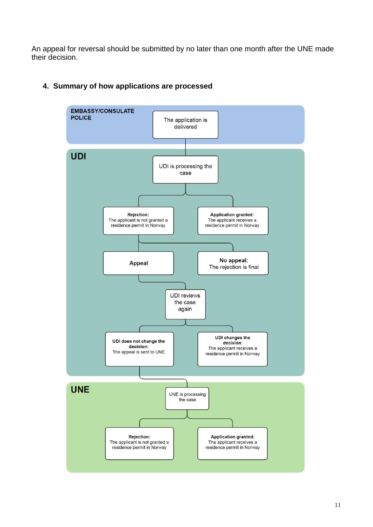An appeal for reversal should be submitted by no later than one month after the UNE made their decision.



### **4. Summary of how applications are processed**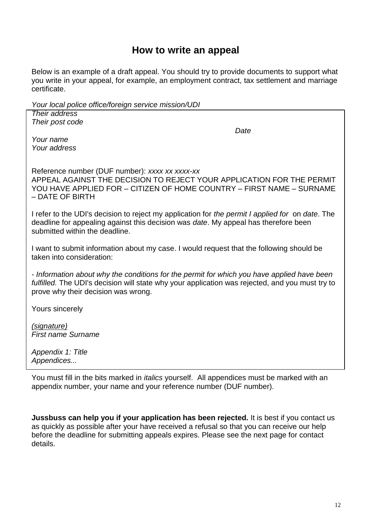## **How to write an appeal**

Below is an example of a draft appeal. You should try to provide documents to support what you write in your appeal, for example, an employment contract, tax settlement and marriage certificate.

*Your local police office/foreign service mission/UDI* 

*Their address Their post code Your name Your address Date* Reference number (DUF number): *xxxx xx xxxx-xx* APPEAL AGAINST THE DECISION TO REJECT YOUR APPLICATION FOR THE PERMIT YOU HAVE APPLIED FOR – CITIZEN OF HOME COUNTRY – FIRST NAME – SURNAME – DATE OF BIRTH I refer to the UDI's decision to reject my application for *the permit I applied for* on *date*. The deadline for appealing against this decision was *date*. My appeal has therefore been submitted within the deadline. I want to submit information about my case. I would request that the following should be taken into consideration: *- Information about why the conditions for the permit for which you have applied have been fulfilled.* The UDI's decision will state why your application was rejected, and you must try to prove why their decision was wrong. Yours sincerely *(signature) First name Surname Appendix 1: Title Appendices...* You must fill in the bits marked in *italics* yourself. All appendices must be marked with an appendix number, your name and your reference number (DUF number).

**Jussbuss can help you if your application has been rejected.** It is best if you contact us as quickly as possible after your have received a refusal so that you can receive our help before the deadline for submitting appeals expires. Please see the next page for contact details.